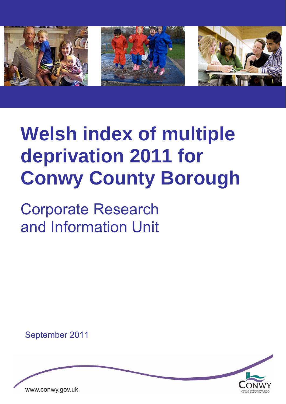

# **Welsh index of multiple deprivation 2011 for Conwy County Borough**

Corporate Research and Information Unit

September 2011

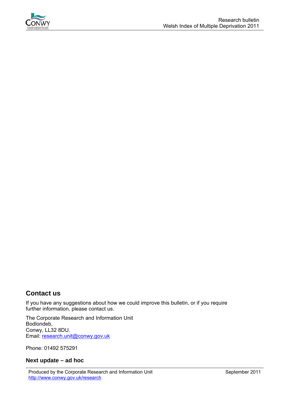

# **Contact us**

If you have any suggestions about how we could improve this bulletin, or if you require further information, please contact us.

The Corporate Research and Information Unit Bodlondeb, Conwy, LL32 8DU. Email: [research.unit@conwy.gov.uk](mailto:research.unit@conwy.gov.uk)

Phone: 01492 575291

#### **Next update – ad hoc**

Produced by the Corporate Research and Information Unit September 2011 http://www.conwy.gov.uk/research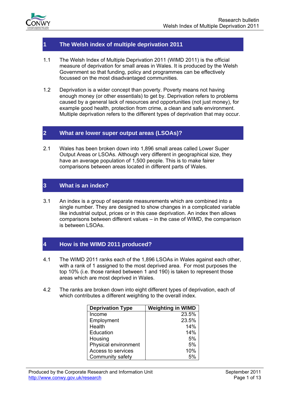

## **1 The Welsh index of multiple deprivation 2011**

- 1.1 The Welsh Index of Multiple Deprivation 2011 (WIMD 2011) is the official measure of deprivation for small areas in Wales. It is produced by the Welsh Government so that funding, policy and programmes can be effectively focussed on the most disadvantaged communities.
- 1.2 Deprivation is a wider concept than poverty. Poverty means not having enough money (or other essentials) to get by. Deprivation refers to problems caused by a general lack of resources and opportunities (not just money), for example good health, protection from crime, a clean and safe environment. Multiple deprivation refers to the different types of deprivation that may occur.

### **2 What are lower super output areas (LSOAs)?**

2.1 Wales has been broken down into 1,896 small areas called Lower Super Output Areas or LSOAs. Although very different in geographical size, they have an average population of 1,500 people. This is to make fairer comparisons between areas located in different parts of Wales.

## **3 What is an index?**

3.1 An index is a group of separate measurements which are combined into a single number. They are designed to show changes in a complicated variable like industrial output, prices or in this case deprivation. An index then allows comparisons between different values – in the case of WIMD, the comparison is between LSOAs.

## **4 How is the WIMD 2011 produced?**

- 4.1 The WIMD 2011 ranks each of the 1,896 LSOAs in Wales against each other, with a rank of 1 assigned to the most deprived area. For most purposes the top 10% (i.e. those ranked between 1 and 190) is taken to represent those areas which are most deprived in Wales.
- 4.2 The ranks are broken down into eight different types of deprivation, each of which contributes a different weighting to the overall index.

| <b>Deprivation Type</b> | <b>Weighting in WIMD</b> |
|-------------------------|--------------------------|
| Income                  | 23.5%                    |
| Employment              | 23.5%                    |
| Health                  | 14%                      |
| Education               | 14%                      |
| Housing                 | 5%                       |
| Physical environment    | 5%                       |
| Access to services      | 10%                      |
| Community safety        | 5%                       |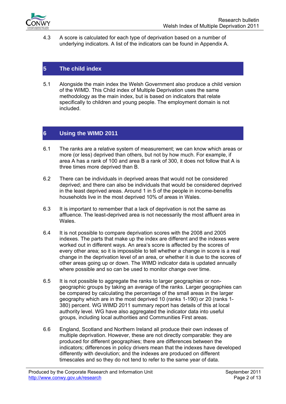

4.3 A score is calculated for each type of deprivation based on a number of underlying indicators. A list of the indicators can be found in Appendix A.

## **5 The child index**

5.1 Alongside the main index the Welsh Government also produce a child version of the WIMD. This Child index of Multiple Deprivation uses the same methodology as the main index, but is based on indicators that relate specifically to children and young people. The employment domain is not included.

## **6 Using the WIMD 2011**

- 6.1 The ranks are a relative system of measurement; we can know which areas or more (or less) deprived than others, but not by how much. For example, if area A has a rank of 100 and area B a rank of 300, it does not follow that A is three times more deprived than B.
- 6.2 There can be individuals in deprived areas that would not be considered deprived; and there can also be individuals that would be considered deprived in the least deprived areas. Around 1 in 5 of the people in income-benefits households live in the most deprived 10% of areas in Wales.
- 6.3 It is important to remember that a lack of deprivation is not the same as affluence. The least-deprived area is not necessarily the most affluent area in Wales.
- 6.4 It is not possible to compare deprivation scores with the 2008 and 2005 indexes. The parts that make up the index are different and the indexes were worked out in different ways. An area's score is affected by the scores of every other area; so it is impossible to tell whether a change in score is a real change in the deprivation level of an area, or whether it is due to the scores of other areas going up or down. The WIMD indicator data is updated annually where possible and so can be used to monitor change over time.
- 6.5 It is not possible to aggregate the ranks to larger geographies or nongeographic groups by taking an average of the ranks. Larger geographies can be compared by calculating the percentage of the small areas in the larger geography which are in the most deprived 10 (ranks 1-190) or 20 (ranks 1- 380) percent. WG WIMD 2011 summary report has details of this at local authority level. WG have also aggregated the indicator data into useful groups, including local authorities and Communities First areas.
- 6.6 England, Scotland and Northern Ireland all produce their own indexes of multiple deprivation. However, these are not directly comparable: they are produced for different geographies; there are differences between the indicators; differences in policy drivers mean that the indexes have developed differently with devolution; and the indexes are produced on different timescales and so they do not tend to refer to the same year of data.

Produced by the Corporate Research and Information Unit September 2011 http://www.conwy.gov.uk/research **Page 2 of 13**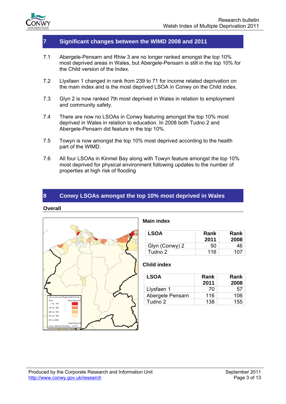

## **7 Significant changes between the WIMD 2008 and 2011**

- 7.1 Abergele-Pensarn and Rhiw 3 are no longer ranked amongst the top 10% most deprived areas in Wales, but Abergele-Pensarn is still in the top 10% for the Child version of the Index.
- 7.2 Llysfaen 1 changed in rank from 239 to 71 for income related deprivation on the main index and is the most deprived LSOA in Conwy on the Child index.
- 7.3 Glyn 2 is now ranked 7th most deprived in Wales in relation to employment and community safety.
- 7.4 There are now no LSOAs in Conwy featuring amongst the top 10% most deprived in Wales in relation to education. In 2008 both Tudno 2 and Abergele-Pensarn did feature in the top 10%.
- 7.5 Towyn is now amongst the top 10% most deprived according to the health part of the WIMD.
- 7.6 All four LSOAs in Kinmel Bay along with Towyn feature amongst the top 10% most deprived for physical environment following updates to the number of properties at high risk of flooding

## **8 Conwy LSOAs amongst the top 10% most deprived in Wales**

#### **Overall**



#### **Main index**

| LSOA           | Rank<br>2011 | Rank<br>2008 |
|----------------|--------------|--------------|
| Glyn (Conwy) 2 | 50           | 46           |
| Tudno 2        | 116          | 107          |

| <b>LSOA</b>      | Rank<br>2011 | Rank<br>2008 |
|------------------|--------------|--------------|
| Llysfaen 1       | 70           | 57           |
| Abergele Pensarn | 116          | 106          |
| Tudno 2          | 138          | 155          |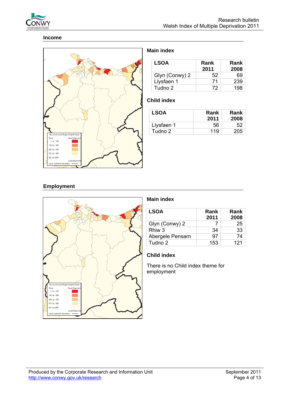

#### **Income**



## **Main index**

| <b>LSOA</b>    | Rank<br>2011 | Rank<br>2008 |
|----------------|--------------|--------------|
| Glyn (Conwy) 2 | 52           | 69           |
| Llysfaen 1     | 71           | 239          |
| Tudno 2        | 72           | 198          |

## **Child index**

| <b>LSOA</b> | Rank<br>2011 | <b>Rank</b><br>2008 |
|-------------|--------------|---------------------|
| Llysfaen 1  | 56           | 52                  |
| Tudno 2     | 119          | 205                 |

## **Employment**



## **Main index**

| <b>LSOA</b>      | Rank<br>2011 | Rank<br>2008 |
|------------------|--------------|--------------|
| Glyn (Conwy) 2   |              | 25           |
| Rhiw 3           | 34           | 33           |
| Abergele Pensarn | 97           | 74           |
| Tudno 2          | 153          | 121          |

## **Child index**

There is no Child index theme for employment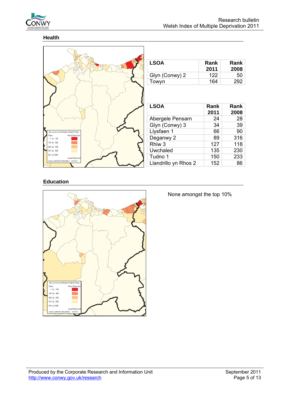

# **Health**



| <b>LSOA</b>    | Rank<br>2011 | Rank<br>2008 |
|----------------|--------------|--------------|
| Glyn (Conwy) 2 | 122          | 50           |
| Towyn          | 164          | 292          |

| <b>LSOA</b>          | Rank<br>2011 | Rank<br>2008 |
|----------------------|--------------|--------------|
| Abergele Pensarn     | 24           | 28           |
| Glyn (Conwy) 3       | 34           | 39           |
| Llysfaen 1           | 66           | 90           |
| Deganwy 2            | 89           | 316          |
| Rhiw <sub>3</sub>    | 127          | 118          |
| Uwchaled             | 135          | 230          |
| Tudno 1              | 150          | 233          |
| Llandrillo yn Rhos 2 | 152          | 86           |

## **Education**



#### None amongst the top 10%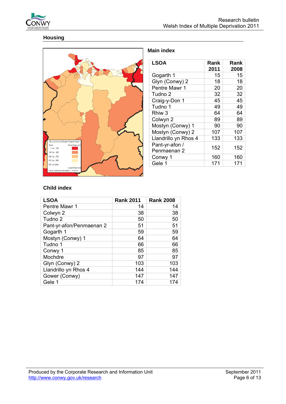

# **Housing**



## **Main index**

| <b>LSOA</b>                   | Rank<br>2011 | Rank<br>2008 |
|-------------------------------|--------------|--------------|
| Gogarth 1                     | 15           | 15           |
| Glyn (Conwy) 2                | 18           | 18           |
| Pentre Mawr 1                 | 20           | 20           |
| Tudno 2                       | 32           | 32           |
| Craig-y-Don 1                 | 45           | 45           |
| Tudno 1                       | 49           | 49           |
| Rhiw 3                        | 64           | 64           |
| Colwyn 2                      | 89           | 89           |
| Mostyn (Conwy) 1              | 90           | 90           |
| Mostyn (Conwy) 2              | 107          | 107          |
| Llandrillo yn Rhos 4          | 133          | 133          |
| Pant-yr-afon /<br>Penmaenan 2 | 152          | 152          |
| Conwy 1                       | 160          | 160          |
| Gele 1                        | 171          | 171          |

| <b>LSOA</b>              | <b>Rank 2011</b> | <b>Rank 2008</b> |
|--------------------------|------------------|------------------|
| Pentre Mawr 1            | 14               | 14               |
| Colwyn 2                 | 38               | 38               |
| Tudno 2                  | 50               | 50               |
| Pant-yr-afon/Penmaenan 2 | 51               | 51               |
| Gogarth 1                | 59               | 59               |
| Mostyn (Conwy) 1         | 64               | 64               |
| Tudno 1                  | 66               | 66               |
| Conwy 1                  | 85               | 85               |
| Mochdre                  | 97               | 97               |
| Glyn (Conwy) 2           | 103              | 103              |
| Llandrillo yn Rhos 4     | 144              | 144              |
| Gower (Conwy)            | 147              | 147              |
| Gele 1                   | 174              | 174              |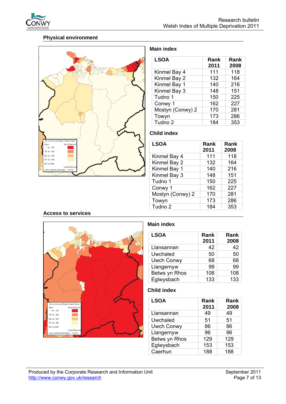

## **Physical environment**



#### **Main index**

| <b>LSOA</b>      | Rank<br>2011 | Rank<br>2008 |
|------------------|--------------|--------------|
| Kinmel Bay 4     | 111          | 118          |
| Kinmel Bay 2     | 132          | 164          |
| Kinmel Bay 1     | 140          | 216          |
| Kinmel Bay 3     | 148          | 151          |
| Tudno 1          | 150          | 225          |
| Conwy 1          | 162          | 227          |
| Mostyn (Conwy) 2 | 170          | 281          |
| Towyn            | 173          | 286          |
| Tudno 2          | 184          | 353          |

## **Child index**

| <b>LSOA</b>        | Rank<br>2011 | Rank<br>2008 |
|--------------------|--------------|--------------|
| Kinmel Bay 4       | 111          | 118          |
| Kinmel Bay 2       | 132          | 164          |
| Kinmel Bay 1       | 140          | 216          |
| Kinmel Bay 3       | 148          | 151          |
| Tudno 1            | 150          | 225          |
| Conwy 1            | 162          | 227          |
| Mostyn (Conwy) 2   | 170          | 281          |
| Towyn              | 173          | 286          |
| Tudno <sub>2</sub> | 184          | 353          |

#### **Access to services**



## **Main index**

| <b>LSOA</b>       | Rank<br>2011 | Rank<br>2008 |
|-------------------|--------------|--------------|
| Llansannan        | 42           | 42           |
| Uwchaled          | 50           | 50           |
| <b>Uwch Conwy</b> | 68           | 68           |
| Llangernyw        | 99           | 99           |
| Betws yn Rhos     | 108          | 108          |
| Eglwysbach        | 133          | 133          |

| <b>LSOA</b>       | Rank<br>2011 | Rank<br>2008 |  |  |
|-------------------|--------------|--------------|--|--|
| Llansannan        | 49           | 49           |  |  |
| Uwchaled          | 51           | 51           |  |  |
| <b>Uwch Conwy</b> | 86           | 86           |  |  |
| Llangernyw        | 96           | 96           |  |  |
| Betws yn Rhos     | 129          | 129          |  |  |
| Eglwysbach        | 153          | 153          |  |  |
| Caerhun           | 188          | 188          |  |  |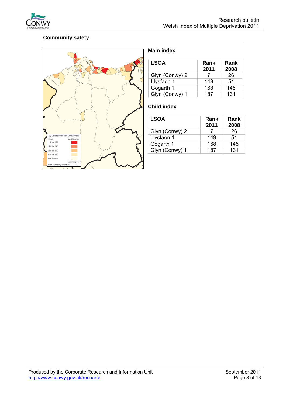

# **Community safety**



## **Main index**

| <b>LSOA</b>    | Rank<br>2011 | Rank<br>2008 |  |  |
|----------------|--------------|--------------|--|--|
| Glyn (Conwy) 2 |              | 26           |  |  |
| Llysfaen 1     | 149          | 54           |  |  |
| Gogarth 1      | 168          | 145          |  |  |
| Glyn (Conwy) 1 | 187          | 131          |  |  |

| <b>LSOA</b>    | Rank<br>2011 | Rank<br>2008 |  |  |
|----------------|--------------|--------------|--|--|
| Glyn (Conwy) 2 |              | 26           |  |  |
| Llysfaen 1     | 149          | 54           |  |  |
| Gogarth 1      | 168          | 145          |  |  |
| Glyn (Conwy) 1 | 187          | 131          |  |  |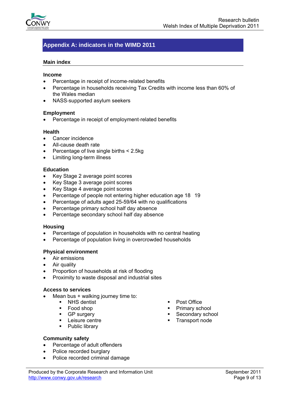

# **Appendix A: indicators in the WIMD 2011**

#### **Main index**

#### **Income**

- Percentage in receipt of income‐related benefits
- Percentage in households receiving Tax Credits with income less than 60% of the Wales median
- NASS-supported asylum seekers

#### **Employment**

• Percentage in receipt of employment‐related benefits

#### **Health**

- Cancer incidence
- All-cause death rate
- Percentage of live single births < 2.5kg
- Limiting long-term illness

#### **Education**

- Key Stage 2 average point scores
- Key Stage 3 average point scores
- Key Stage 4 average point scores
- Percentage of people not entering higher education age 18 19
- Percentage of adults aged 25-59/64 with no qualifications
- Percentage primary school half day absence
- Percentage secondary school half day absence

#### **Housing**

- Percentage of population in households with no central heating
- Percentage of population living in overcrowded households

#### **Physical environment**

- Air emissions
- Air quality
- Proportion of households at risk of flooding
- Proximity to waste disposal and industrial sites

#### **Access to services**

- Mean bus + walking journey time to:
	- NHS dentist
	- Food shop
	- **GP** surgery
	- **EXEC** Leisure centre
	- Public library
- Post Office
- Primary school
- Secondary school
- **Transport node**

- **Community safety**
- Percentage of adult offenders
- Police recorded burglary
- Police recorded criminal damage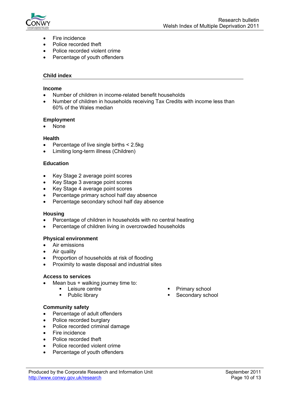

- Fire incidence
- Police recorded theft
- Police recorded violent crime
- Percentage of youth offenders

#### **Child index**

#### **Income**

- Number of children in income‐related benefit households
- Number of children in households receiving Tax Credits with income less than 60% of the Wales median

#### **Employment**

• None

#### **Health**

- Percentage of live single births < 2.5kg
- Limiting long-term illness (Children)

#### **Education**

- Key Stage 2 average point scores
- Key Stage 3 average point scores
- Key Stage 4 average point scores
- Percentage primary school half day absence
- Percentage secondary school half day absence

#### **Housing**

- Percentage of children in households with no central heating
- Percentage of children living in overcrowded households

#### **Physical environment**

- Air emissions
- Air quality
- Proportion of households at risk of flooding
- Proximity to waste disposal and industrial sites

#### **Access to services**

- Mean bus + walking journey time to:
	- **Leisure centre**
	- Public library
- Primary school
- Secondary school

#### **Community safety**

- Percentage of adult offenders
- Police recorded burglary
- Police recorded criminal damage
- Fire incidence
- Police recorded theft
- Police recorded violent crime
- Percentage of youth offenders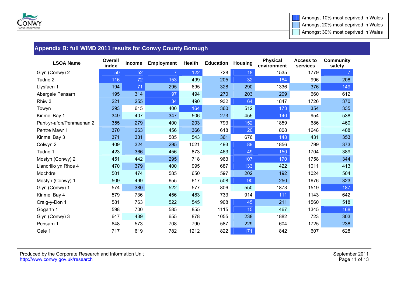

# **Appendix B: full WIMD 2011 results for Conwy County Borough**

| <b>LSOA Name</b>         | <b>Overall</b><br>index | Income | <b>Employment</b> | <b>Health</b> | <b>Education</b> | <b>Housing</b> | <b>Physical</b><br>environment | <b>Access to</b><br>services | <b>Community</b><br>safety |
|--------------------------|-------------------------|--------|-------------------|---------------|------------------|----------------|--------------------------------|------------------------------|----------------------------|
| Glyn (Conwy) 2           | 50                      | 52     |                   | 122           | 728              | 18             | 1535                           | 1779                         |                            |
| Tudno 2                  | 116                     | 72     | 153               | 499           | 205              | 32             | 184                            | 996                          | 208                        |
| Llysfaen 1               | 194                     | 71     | 295               | 695           | 328              | 290            | 1336                           | 376                          | 149                        |
| Abergele Pensarn         | 195                     | 314    | 97                | 494           | 270              | 203            | 209                            | 660                          | 612                        |
| Rhiw <sub>3</sub>        | 221                     | 255    | 34                | 490           | 932              | 64             | 1847                           | 1726                         | 370                        |
| Towyn                    | 293                     | 615    | 400               | 164           | 360              | 512            | 173                            | 354                          | 335                        |
| Kinmel Bay 1             | 349                     | 407    | 347               | 506           | 273              | 455            | 140                            | 954                          | 538                        |
| Pant-yr-afon/Penmaenan 2 | 355                     | 279    | 400               | 203           | 793              | 152            | 1859                           | 686                          | 460                        |
| Pentre Mawr 1            | 370                     | 263    | 456               | 366           | 618              | 20             | 808                            | 1648                         | 488                        |
| Kinmel Bay 3             | 371                     | 331    | 585               | 543           | 361              | 676            | 148                            | 431                          | 353                        |
| Colwyn 2                 | 409                     | 324    | 295               | 1021          | 493              | 89             | 1856                           | 799                          | 373                        |
| Tudno 1                  | 423                     | 366    | 456               | 873           | 463              | 49             | 150                            | 1704                         | 389                        |
| Mostyn (Conwy) 2         | 451                     | 442    | 295               | 718           | 963              | 107            | 170                            | 1758                         | 344                        |
| Llandrillo yn Rhos 4     | 470                     | 379    | 400               | 995           | 687              | 133            | 422                            | 1011                         | 413                        |
| Mochdre                  | 501                     | 474    | 585               | 650           | 597              | 202            | 192                            | 1024                         | 504                        |
| Mostyn (Conwy) 1         | 509                     | 499    | 655               | 617           | 508              | 90             | 250                            | 1676                         | 323                        |
| Glyn (Conwy) 1           | 574                     | 380    | 522               | 577           | 806              | 550            | 1873                           | 1519                         | 187                        |
| Kinmel Bay 4             | 579                     | 736    | 456               | 483           | 733              | 914            | 111                            | 1143                         | 642                        |
| Craig-y-Don 1            | 581                     | 763    | 522               | 545           | 908              | 45             | 211                            | 1560                         | 518                        |
| Gogarth 1                | 598                     | 700    | 585               | 855           | 1115             | 15             | 467                            | 1345                         | 168                        |
| Glyn (Conwy) 3           | 647                     | 439    | 655               | 878           | 1055             | 238            | 1882                           | 723                          | 303                        |
| Pensarn 1                | 648                     | 573    | 708               | 790           | 587              | 229            | 604                            | 1725                         | 238                        |
| Gele 1                   | 717                     | 619    | 782               | 1212          | 822              | 171            | 842                            | 607                          | 628                        |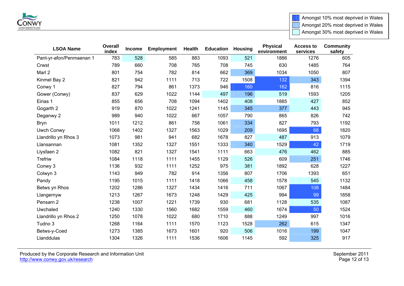

Amongst 10% most deprived in Wales | Amongst 20% most deprived in Wales Amongst 30% most deprived in Wales

| <b>LSOA Name</b>         | <b>Overall</b><br>index | Income | <b>Employment</b> | Health | <b>Education</b> | <b>Housing</b> | <b>Physical</b><br>environment | <b>Access to</b><br>services | <b>Community</b><br>safety |
|--------------------------|-------------------------|--------|-------------------|--------|------------------|----------------|--------------------------------|------------------------------|----------------------------|
| Pant-yr-afon/Penmaenan 1 | 783                     | 528    | 585               | 883    | 1093             | 521            | 1886                           | 1276                         | 605                        |
| Crwst                    | 789                     | 660    | 708               | 765    | 708              | 745            | 630                            | 1485                         | 764                        |
| Marl 2                   | 801                     | 754    | 782               | 814    | 662              | 369            | 1034                           | 1050                         | 807                        |
| Kinmel Bay 2             | 821                     | 942    | 1111              | 713    | 722              | 1508           | 132                            | 343                          | 1394                       |
| Conwy 1                  | 827                     | 794    | 861               | 1373   | 946              | 160            | 162                            | 816                          | 1115                       |
| Gower (Conwy)            | 837                     | 629    | 1022              | 1144   | 497              | 196            | 519                            | 1593                         | 1205                       |
| Eirias 1                 | 855                     | 656    | 708               | 1094   | 1402             | 408            | 1885                           | 427                          | 852                        |
| Gogarth 2                | 919                     | 870    | 1022              | 1241   | 1145             | 345            | 377                            | 443                          | 945                        |
| Deganwy 2                | 989                     | 940    | 1022              | 667    | 1057             | 790            | 865                            | 826                          | 742                        |
| <b>Bryn</b>              | 1011                    | 1212   | 861               | 758    | 1061             | 334            | 827                            | 793                          | 1192                       |
| Uwch Conwy               | 1068                    | 1402   | 1327              | 1563   | 1029             | 209            | 1695                           | 68                           | 1820                       |
| Llandrillo yn Rhos 3     | 1073                    | 981    | 941               | 682    | 1678             | 827            | 487                            | 913                          | 1079                       |
| Llansannan               | 1081                    | 1352   | 1327              | 1551   | 1333             | 340            | 1529                           | 42                           | 1719                       |
| Llysfaen 2               | 1082                    | 821    | 1327              | 1541   | 1111             | 663            | 476                            | 462                          | 885                        |
| <b>Trefriw</b>           | 1084                    | 1118   | 1111              | 1455   | 1129             | 526            | 609                            | 251                          | 1746                       |
| Conwy 3                  | 1136                    | 932    | 1111              | 1252   | 975              | 381            | 1892                           | 628                          | 1227                       |
| Colwyn 3                 | 1143                    | 949    | 782               | 914    | 1356             | 807            | 1706                           | 1393                         | 651                        |
| Pandy                    | 1195                    | 1015   | 1111              | 1418   | 1066             | 458            | 1578                           | 545                          | 1132                       |
| Betws yn Rhos            | 1202                    | 1286   | 1327              | 1434   | 1416             | 711            | 1067                           | 108                          | 1484                       |
| Llangernyw               | 1213                    | 1267   | 1673              | 1248   | 1429             | 425            | 994                            | 99                           | 1858                       |
| Pensarn 2                | 1238                    | 1007   | 1221              | 1739   | 930              | 681            | 1128                           | 535                          | 1087                       |
| Uwchaled                 | 1240                    | 1330   | 1560              | 1682   | 1559             | 460            | 1674                           | 50                           | 1524                       |
| Llandrillo yn Rhos 2     | 1250                    | 1078   | 1022              | 680    | 1710             | 888            | 1249                           | 997                          | 1016                       |
| Tudno 3                  | 1268                    | 1164   | 1111              | 1570   | 1123             | 1528           | 262                            | 615                          | 1347                       |
| Betws-y-Coed             | 1273                    | 1385   | 1673              | 1601   | 920              | 506            | 1016                           | 199                          | 1047                       |
| Llanddulas               | 1304                    | 1326   | 1111              | 1536   | 1606             | 1145           | 592                            | 325                          | 917                        |

Produced by the Corporate Research and Information Unit September 2011 **September 2011** http://www.conwy.gov.uk/research Page 12 of 13